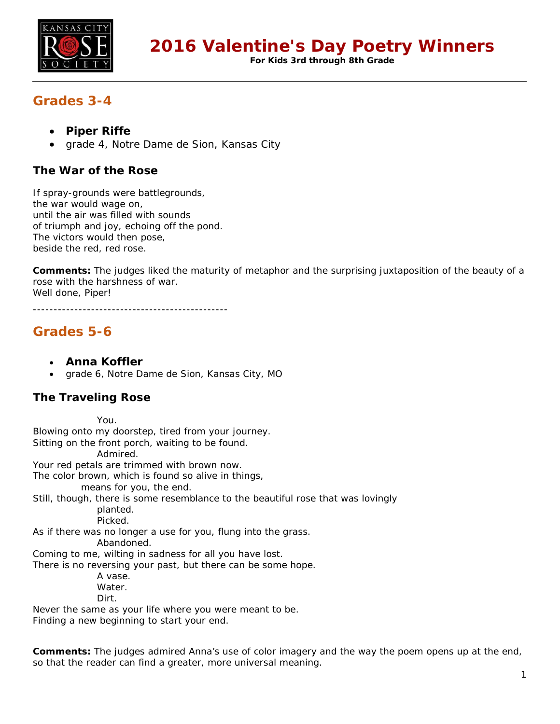

**For Kids 3rd through 8th Grade**

# **Grades 3-4**

- **Piper Riffe**
- grade 4, Notre Dame de Sion, Kansas City

## **The War of the Rose**

If spray-grounds were battlegrounds, the war would wage on, until the air was filled with sounds of triumph and joy, echoing off the pond. The victors would then pose, beside the red, red rose.

**Comments:** The judges liked the maturity of metaphor and the surprising juxtaposition of the beauty of a rose with the harshness of war. Well done, Piper!

-----------------------------------------------

# **Grades 5-6**

- **Anna Koffler**
- grade 6, Notre Dame de Sion, Kansas City, MO

## **The Traveling Rose**

You. Blowing onto my doorstep, tired from your journey. Sitting on the front porch, waiting to be found. Admired. Your red petals are trimmed with brown now. The color brown, which is found so alive in things, means for you, the end. Still, though, there is some resemblance to the beautiful rose that was lovingly planted. Picked. As if there was no longer a use for you, flung into the grass. Abandoned. Coming to me, wilting in sadness for all you have lost. There is no reversing your past, but there can be some hope. A vase. Water. Dirt. Never the same as your life where you were meant to be.

Finding a new beginning to start your end.

**Comments:** The judges admired Anna's use of color imagery and the way the poem opens up at the end, so that the reader can find a greater, more universal meaning.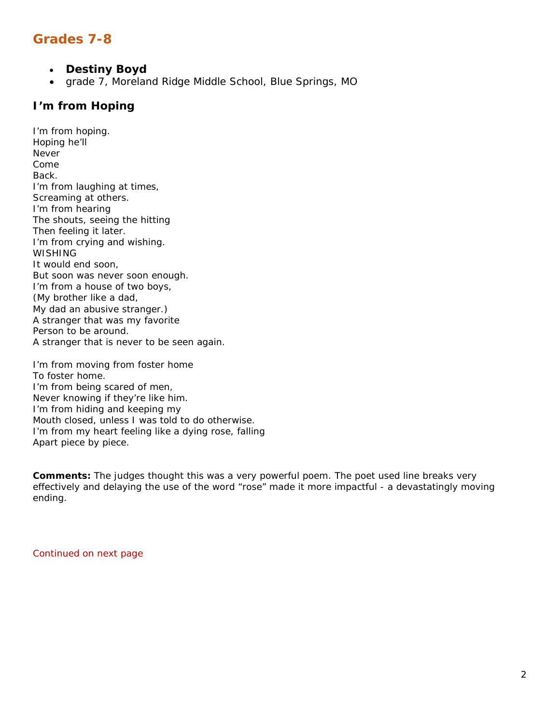# **Grades 7-8**

- **Destiny Boyd**
- grade 7, Moreland Ridge Middle School, Blue Springs, MO

#### **I'm from Hoping**

I'm from hoping. Hoping he'll Never Come Back. I'm from laughing at times, Screaming at others. I'm from hearing The shouts, seeing the hitting Then feeling it later. I'm from crying and wishing. WISHING It would end soon, But soon was never soon enough. I'm from a house of two boys, (My brother like a dad, My dad an abusive stranger.) A stranger that was my favorite Person to be around. A stranger that is never to be seen again.

I'm from moving from foster home To foster home. I'm from being scared of men, Never knowing if they're like him. I'm from hiding and keeping my Mouth closed, unless I was told to do otherwise. I'm from my heart feeling like a dying rose, falling Apart piece by piece.

**Comments:** The judges thought this was a very powerful poem. The poet used line breaks very effectively and delaying the use of the word "rose" made it more impactful - a devastatingly moving ending.

Continued on next page